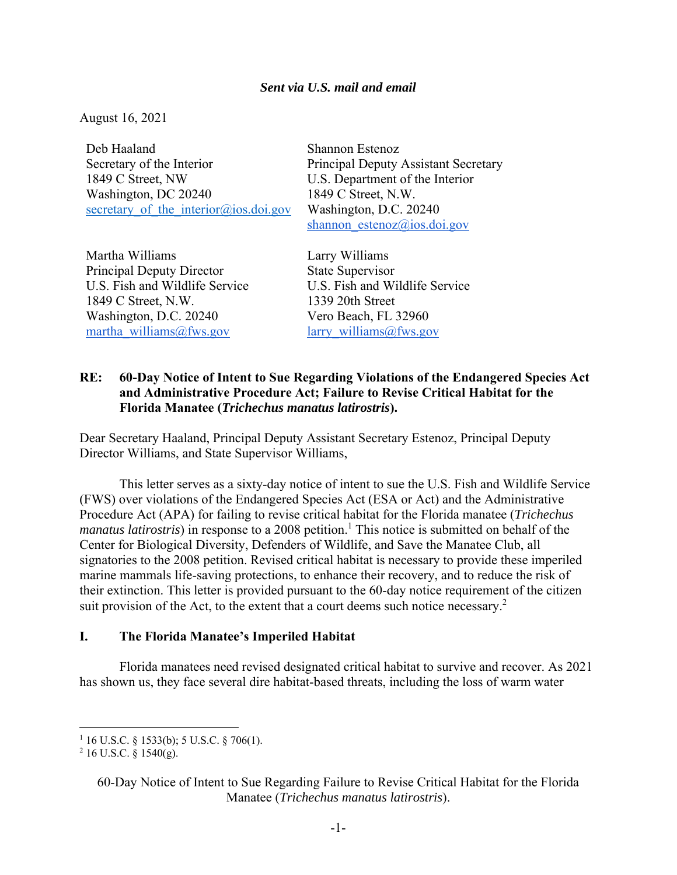### *Sent via U.S. mail and email*

August 16, 2021

Deb Haaland Secretary of the Interior 1849 C Street, NW Washington, DC 20240 secretary of the interior@ios.doi.gov

Martha Williams Principal Deputy Director U.S. Fish and Wildlife Service 1849 C Street, N.W. Washington, D.C. 20240 martha\_williams@fws.gov

Shannon Estenoz Principal Deputy Assistant Secretary U.S. Department of the Interior 1849 C Street, N.W. Washington, D.C. 20240 shannon estenoz@ios.doi.gov

Larry Williams State Supervisor U.S. Fish and Wildlife Service 1339 20th Street Vero Beach, FL 32960 larry\_williams@fws.gov

## **RE: 60-Day Notice of Intent to Sue Regarding Violations of the Endangered Species Act and Administrative Procedure Act; Failure to Revise Critical Habitat for the Florida Manatee (***Trichechus manatus latirostris***).**

Dear Secretary Haaland, Principal Deputy Assistant Secretary Estenoz, Principal Deputy Director Williams, and State Supervisor Williams,

This letter serves as a sixty-day notice of intent to sue the U.S. Fish and Wildlife Service (FWS) over violations of the Endangered Species Act (ESA or Act) and the Administrative Procedure Act (APA) for failing to revise critical habitat for the Florida manatee (*Trichechus manatus latirostris*) in response to a 2008 petition.<sup>1</sup> This notice is submitted on behalf of the Center for Biological Diversity, Defenders of Wildlife, and Save the Manatee Club, all signatories to the 2008 petition. Revised critical habitat is necessary to provide these imperiled marine mammals life-saving protections, to enhance their recovery, and to reduce the risk of their extinction. This letter is provided pursuant to the 60-day notice requirement of the citizen suit provision of the Act, to the extent that a court deems such notice necessary. $2$ 

#### **I. The Florida Manatee's Imperiled Habitat**

Florida manatees need revised designated critical habitat to survive and recover. As 2021 has shown us, they face several dire habitat-based threats, including the loss of warm water

<sup>&</sup>lt;sup>1</sup> 16 U.S.C. § 1533(b); 5 U.S.C. § 706(1).<br><sup>2</sup> 16 U.S.C. § 1540(g)

 $^{2}$  16 U.S.C. § 1540(g).

<sup>60-</sup>Day Notice of Intent to Sue Regarding Failure to Revise Critical Habitat for the Florida Manatee (*Trichechus manatus latirostris*).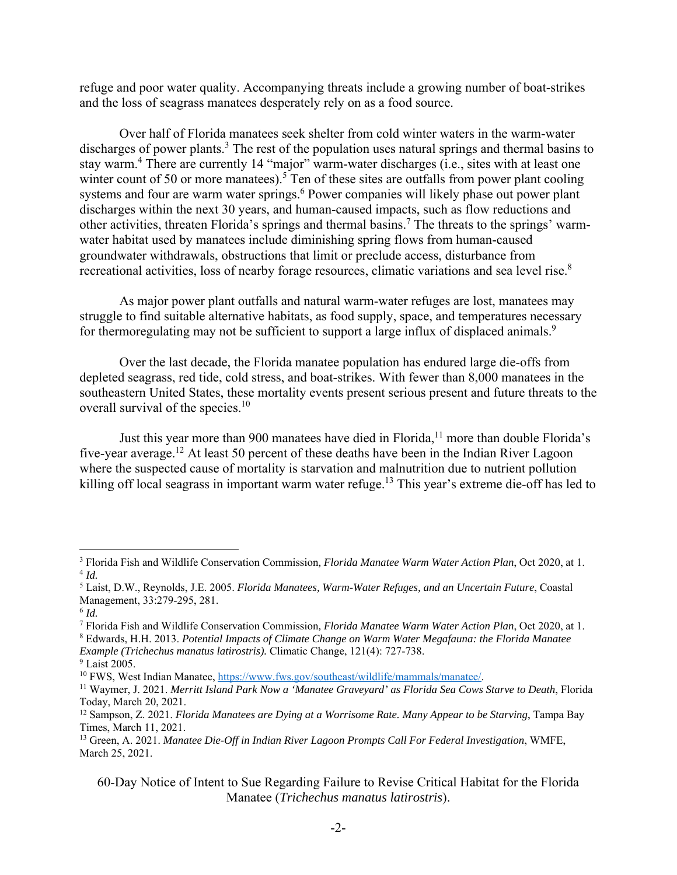refuge and poor water quality. Accompanying threats include a growing number of boat-strikes and the loss of seagrass manatees desperately rely on as a food source.

Over half of Florida manatees seek shelter from cold winter waters in the warm-water discharges of power plants.<sup>3</sup> The rest of the population uses natural springs and thermal basins to stay warm.<sup>4</sup> There are currently 14 "major" warm-water discharges (i.e., sites with at least one winter count of 50 or more manatees).<sup>5</sup> Ten of these sites are outfalls from power plant cooling systems and four are warm water springs.<sup>6</sup> Power companies will likely phase out power plant discharges within the next 30 years, and human-caused impacts, such as flow reductions and other activities, threaten Florida's springs and thermal basins.<sup>7</sup> The threats to the springs' warmwater habitat used by manatees include diminishing spring flows from human-caused groundwater withdrawals, obstructions that limit or preclude access, disturbance from recreational activities, loss of nearby forage resources, climatic variations and sea level rise.<sup>8</sup>

As major power plant outfalls and natural warm-water refuges are lost, manatees may struggle to find suitable alternative habitats, as food supply, space, and temperatures necessary for thermoregulating may not be sufficient to support a large influx of displaced animals.<sup>9</sup>

Over the last decade, the Florida manatee population has endured large die-offs from depleted seagrass, red tide, cold stress, and boat-strikes. With fewer than 8,000 manatees in the southeastern United States, these mortality events present serious present and future threats to the overall survival of the species.<sup>10</sup>

Just this year more than 900 manatees have died in Florida,<sup>11</sup> more than double Florida's five-year average.12 At least 50 percent of these deaths have been in the Indian River Lagoon where the suspected cause of mortality is starvation and malnutrition due to nutrient pollution killing off local seagrass in important warm water refuge.<sup>13</sup> This year's extreme die-off has led to

<sup>&</sup>lt;sup>3</sup> Florida Fish and Wildlife Conservation Commission, *Florida Manatee Warm Water Action Plan*, Oct 2020, at 1.<br><sup>4</sup> *Id.*<br><sup>5</sup> Laist D.W., Beynolds, J.E. 2005, *Florida Manatees, Warm Water Befuges, and an Uncertain Future* 

Laist, D.W., Reynolds, J.E. 2005. *Florida Manatees, Warm-Water Refuges, and an Uncertain Future*, Coastal Management, 33:279-295, 281.

<sup>6</sup> *Id.*

<sup>7</sup> Florida Fish and Wildlife Conservation Commission*, Florida Manatee Warm Water Action Plan*, Oct 2020, at 1. 8 Edwards, H.H. 2013. *Potential Impacts of Climate Change on Warm Water Megafauna: the Florida Manatee Example (Trichechus manatus latirostris).* Climatic Change, 121(4): 727-738.

<sup>&</sup>lt;sup>9</sup> Laist 2005.

<sup>&</sup>lt;sup>10</sup> FWS, West Indian Manatee, https://www.fws.gov/southeast/wildlife/mammals/manatee/.<br><sup>11</sup> Waymer, J. 2021. *Merritt Island Park Now a 'Manatee Graveyard' as Florida Sea Cows Starve to Death*, Florida Today, March 20, 2021.

<sup>12</sup> Sampson, Z. 2021. *Florida Manatees are Dying at a Worrisome Rate. Many Appear to be Starving*, Tampa Bay Times, March 11, 2021.

<sup>13</sup> Green, A. 2021. *Manatee Die-Off in Indian River Lagoon Prompts Call For Federal Investigation*, WMFE, March 25, 2021.

<sup>60-</sup>Day Notice of Intent to Sue Regarding Failure to Revise Critical Habitat for the Florida Manatee (*Trichechus manatus latirostris*).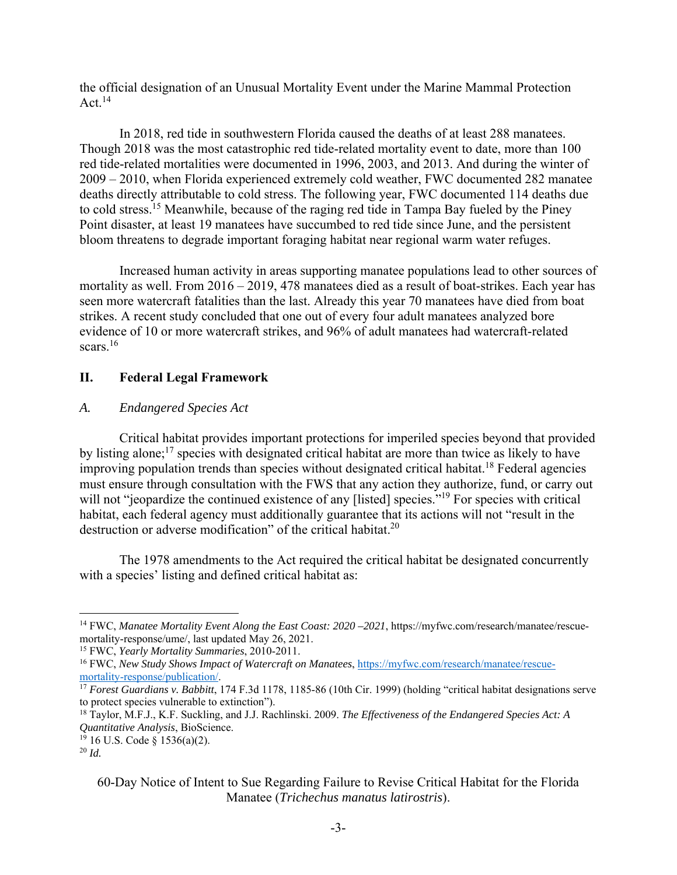the official designation of an Unusual Mortality Event under the Marine Mammal Protection Act. $^{14}$ 

In 2018, red tide in southwestern Florida caused the deaths of at least 288 manatees. Though 2018 was the most catastrophic red tide-related mortality event to date, more than 100 red tide-related mortalities were documented in 1996, 2003, and 2013. And during the winter of 2009 – 2010, when Florida experienced extremely cold weather, FWC documented 282 manatee deaths directly attributable to cold stress. The following year, FWC documented 114 deaths due to cold stress.15 Meanwhile, because of the raging red tide in Tampa Bay fueled by the Piney Point disaster, at least 19 manatees have succumbed to red tide since June, and the persistent bloom threatens to degrade important foraging habitat near regional warm water refuges.

Increased human activity in areas supporting manatee populations lead to other sources of mortality as well. From 2016 – 2019, 478 manatees died as a result of boat-strikes. Each year has seen more watercraft fatalities than the last. Already this year 70 manatees have died from boat strikes. A recent study concluded that one out of every four adult manatees analyzed bore evidence of 10 or more watercraft strikes, and 96% of adult manatees had watercraft-related scars.<sup>16</sup>

# **II. Federal Legal Framework**

### *A. Endangered Species Act*

Critical habitat provides important protections for imperiled species beyond that provided by listing alone;<sup>17</sup> species with designated critical habitat are more than twice as likely to have improving population trends than species without designated critical habitat.<sup>18</sup> Federal agencies must ensure through consultation with the FWS that any action they authorize, fund, or carry out will not "jeopardize the continued existence of any [listed] species."<sup>19</sup> For species with critical habitat, each federal agency must additionally guarantee that its actions will not "result in the destruction or adverse modification" of the critical habitat. $2<sup>0</sup>$ 

 The 1978 amendments to the Act required the critical habitat be designated concurrently with a species' listing and defined critical habitat as:

<sup>14</sup> FWC, *Manatee Mortality Event Along the East Coast: 2020 –2021*, https://myfwc.com/research/manatee/rescuemortality-response/ume/, last updated May 26, 2021.

<sup>15</sup> FWC, *Yearly Mortality Summaries*, 2010-2011.

<sup>&</sup>lt;sup>16</sup> FWC, *New Study Shows Impact of Watercraft on Manatees*, https://myfwc.com/research/manatee/rescue-<br>mortality-response/publication/.

<sup>&</sup>lt;sup>17</sup> *Forest Guardians v. Babbitt*, 174 F.3d 1178, 1185-86 (10th Cir. 1999) (holding "critical habitat designations serve to protect species vulnerable to extinction").

<sup>18</sup> Taylor, M.F.J., K.F. Suckling, and J.J. Rachlinski. 2009. *The Effectiveness of the Endangered Species Act: A Quantitative Analysis*, BioScience.

 $19$  16 U.S. Code § 1536(a)(2).

<sup>20</sup> *Id.* 

<sup>60-</sup>Day Notice of Intent to Sue Regarding Failure to Revise Critical Habitat for the Florida Manatee (*Trichechus manatus latirostris*).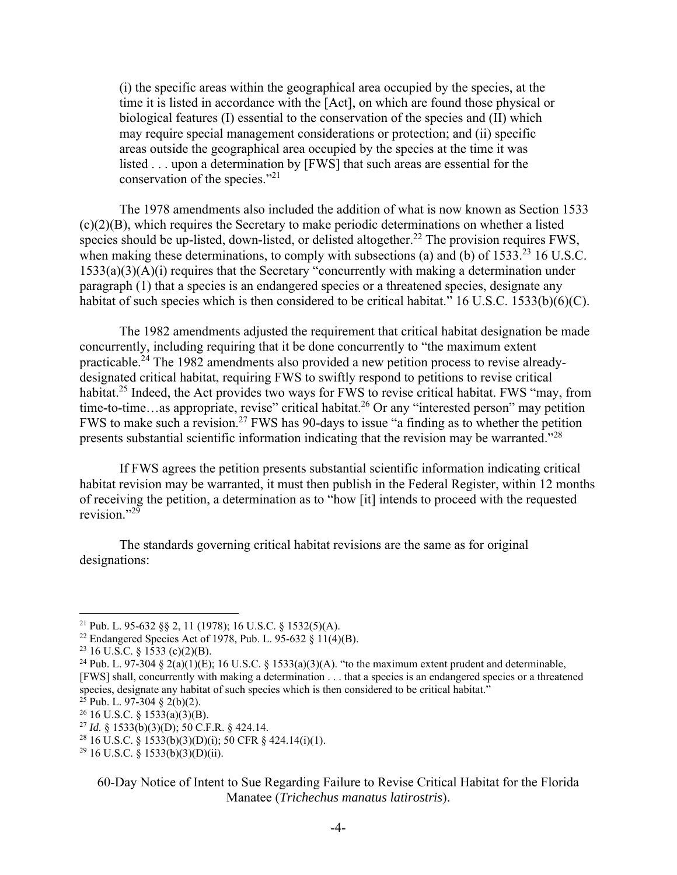(i) the specific areas within the geographical area occupied by the species, at the time it is listed in accordance with the [Act], on which are found those physical or biological features (I) essential to the conservation of the species and (II) which may require special management considerations or protection; and (ii) specific areas outside the geographical area occupied by the species at the time it was listed . . . upon a determination by [FWS] that such areas are essential for the conservation of the species."21

The 1978 amendments also included the addition of what is now known as Section 1533 (c)(2)(B), which requires the Secretary to make periodic determinations on whether a listed species should be up-listed, down-listed, or delisted altogether.<sup>22</sup> The provision requires FWS, when making these determinations, to comply with subsections (a) and (b) of 1533.<sup>23</sup> 16 U.S.C.  $1533(a)(3)(A)(i)$  requires that the Secretary "concurrently with making a determination under paragraph (1) that a species is an endangered species or a threatened species, designate any habitat of such species which is then considered to be critical habitat." 16 U.S.C. 1533(b)(6)(C).

The 1982 amendments adjusted the requirement that critical habitat designation be made concurrently, including requiring that it be done concurrently to "the maximum extent practicable.24 The 1982 amendments also provided a new petition process to revise alreadydesignated critical habitat, requiring FWS to swiftly respond to petitions to revise critical habitat.<sup>25</sup> Indeed, the Act provides two ways for FWS to revise critical habitat. FWS "may, from time-to-time…as appropriate, revise" critical habitat.<sup>26</sup> Or any "interested person" may petition FWS to make such a revision.27 FWS has 90-days to issue "a finding as to whether the petition presents substantial scientific information indicating that the revision may be warranted."28

If FWS agrees the petition presents substantial scientific information indicating critical habitat revision may be warranted, it must then publish in the Federal Register, within 12 months of receiving the petition, a determination as to "how [it] intends to proceed with the requested revision." $^{29}$ 

 The standards governing critical habitat revisions are the same as for original designations:

<sup>&</sup>lt;sup>21</sup> Pub. L. 95-632 §§ 2, 11 (1978); 16 U.S.C. § 1532(5)(A).<br><sup>22</sup> Endangered Species Act of 1978, Pub. L. 95-632 § 11(4)(B).

<sup>&</sup>lt;sup>23</sup> 16 U.S.C. § 1533 (c)(2)(B).

<sup>&</sup>lt;sup>24</sup> Pub. L. 97-304 § 2(a)(1)(E); 16 U.S.C. § 1533(a)(3)(A). "to the maximum extent prudent and determinable, [FWS] shall, concurrently with making a determination . . . that a species is an endangered species or a threatened species, designate any habitat of such species which is then considered to be critical habitat."

 $25$  Pub. L. 97-304 § 2(b)(2).

<sup>&</sup>lt;sup>26</sup> 16 U.S.C. § 1533(a)(3)(B).

<sup>27</sup> *Id.* § 1533(b)(3)(D); 50 C.F.R. § 424.14.

<sup>&</sup>lt;sup>28</sup> 16 U.S.C. § 1533(b)(3)(D)(i); 50 CFR § 424.14(i)(1).

<sup>&</sup>lt;sup>29</sup> 16 U.S.C. § 1533(b)(3)(D)(ii).

<sup>60-</sup>Day Notice of Intent to Sue Regarding Failure to Revise Critical Habitat for the Florida Manatee (*Trichechus manatus latirostris*).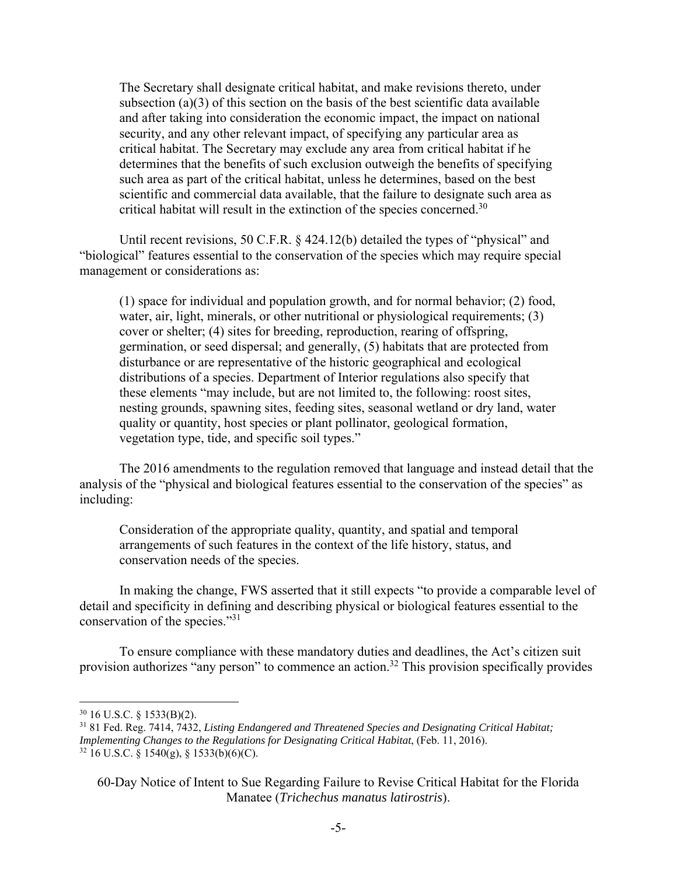The Secretary shall designate critical habitat, and make revisions thereto, under subsection (a)(3) of this section on the basis of the best scientific data available and after taking into consideration the economic impact, the impact on national security, and any other relevant impact, of specifying any particular area as critical habitat. The Secretary may exclude any area from critical habitat if he determines that the benefits of such exclusion outweigh the benefits of specifying such area as part of the critical habitat, unless he determines, based on the best scientific and commercial data available, that the failure to designate such area as critical habitat will result in the extinction of the species concerned.<sup>30</sup>

Until recent revisions, 50 C.F.R. § 424.12(b) detailed the types of "physical" and "biological" features essential to the conservation of the species which may require special management or considerations as:

(1) space for individual and population growth, and for normal behavior; (2) food, water, air, light, minerals, or other nutritional or physiological requirements; (3) cover or shelter; (4) sites for breeding, reproduction, rearing of offspring, germination, or seed dispersal; and generally, (5) habitats that are protected from disturbance or are representative of the historic geographical and ecological distributions of a species. Department of Interior regulations also specify that these elements "may include, but are not limited to, the following: roost sites, nesting grounds, spawning sites, feeding sites, seasonal wetland or dry land, water quality or quantity, host species or plant pollinator, geological formation, vegetation type, tide, and specific soil types."

The 2016 amendments to the regulation removed that language and instead detail that the analysis of the "physical and biological features essential to the conservation of the species" as including:

Consideration of the appropriate quality, quantity, and spatial and temporal arrangements of such features in the context of the life history, status, and conservation needs of the species.

In making the change, FWS asserted that it still expects "to provide a comparable level of detail and specificity in defining and describing physical or biological features essential to the conservation of the species."31

To ensure compliance with these mandatory duties and deadlines, the Act's citizen suit provision authorizes "any person" to commence an action.<sup>32</sup> This provision specifically provides

<sup>30 16</sup> U.S.C. § 1533(B)(2).

<sup>31 81</sup> Fed. Reg. 7414, 7432, *Listing Endangered and Threatened Species and Designating Critical Habitat; Implementing Changes to the Regulations for Designating Critical Habitat*, (Feb. 11, 2016).  $32$  16 U.S.C. § 1540(g), § 1533(b)(6)(C).

<sup>60-</sup>Day Notice of Intent to Sue Regarding Failure to Revise Critical Habitat for the Florida Manatee (*Trichechus manatus latirostris*).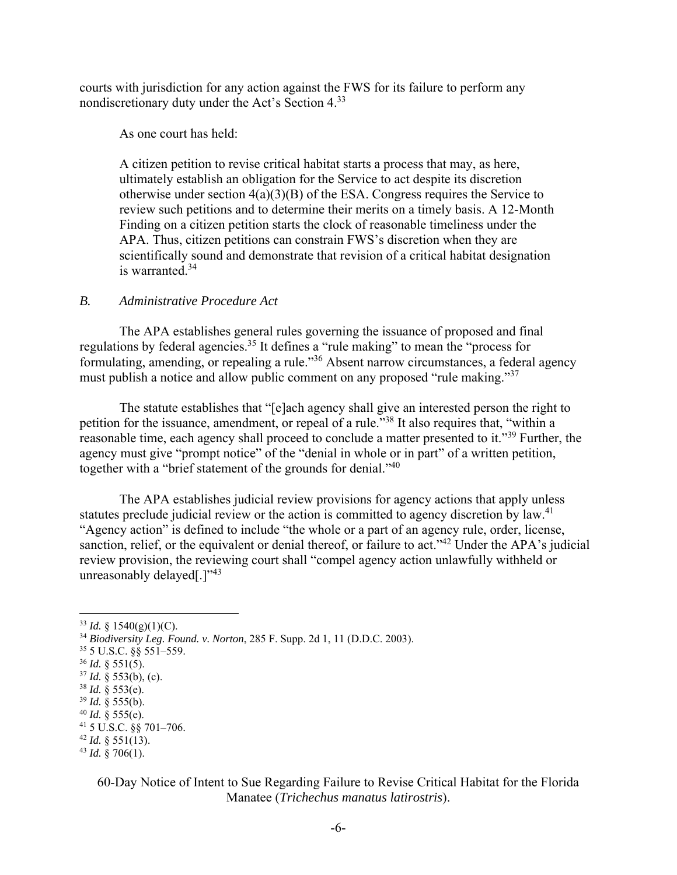courts with jurisdiction for any action against the FWS for its failure to perform any nondiscretionary duty under the Act's Section 4.33

As one court has held:

A citizen petition to revise critical habitat starts a process that may, as here, ultimately establish an obligation for the Service to act despite its discretion otherwise under section  $4(a)(3)(B)$  of the ESA. Congress requires the Service to review such petitions and to determine their merits on a timely basis. A 12-Month Finding on a citizen petition starts the clock of reasonable timeliness under the APA. Thus, citizen petitions can constrain FWS's discretion when they are scientifically sound and demonstrate that revision of a critical habitat designation is warranted.34

#### *B. Administrative Procedure Act*

 The APA establishes general rules governing the issuance of proposed and final regulations by federal agencies.<sup>35</sup> It defines a "rule making" to mean the "process for formulating, amending, or repealing a rule."<sup>36</sup> Absent narrow circumstances, a federal agency must publish a notice and allow public comment on any proposed "rule making."<sup>37</sup>

The statute establishes that "[e]ach agency shall give an interested person the right to petition for the issuance, amendment, or repeal of a rule.<sup>538</sup> It also requires that, "within a reasonable time, each agency shall proceed to conclude a matter presented to it."39 Further, the agency must give "prompt notice" of the "denial in whole or in part" of a written petition, together with a "brief statement of the grounds for denial."<sup>40</sup>

 The APA establishes judicial review provisions for agency actions that apply unless statutes preclude judicial review or the action is committed to agency discretion by law.<sup>41</sup> "Agency action" is defined to include "the whole or a part of an agency rule, order, license, sanction, relief, or the equivalent or denial thereof, or failure to act."<sup>42</sup> Under the APA's judicial review provision, the reviewing court shall "compel agency action unlawfully withheld or unreasonably delayed[.] $"^{43}$ 

 $36$  *Id.* § 551(5).

## 60-Day Notice of Intent to Sue Regarding Failure to Revise Critical Habitat for the Florida Manatee (*Trichechus manatus latirostris*).

 $33$  *Id.* § 1540(g)(1)(C).

<sup>34</sup> *Biodiversity Leg. Found. v. Norton*, 285 F. Supp. 2d 1, 11 (D.D.C. 2003).

<sup>35 5</sup> U.S.C. §§ 551–559.

<sup>37</sup> *Id.* § 553(b), (c).

 $38$  *Id.* § 553(e).

 $39$  *Id.* § 555(b).

<sup>&</sup>lt;sup>40</sup> *Id.* § 555(e).<br><sup>41</sup> 5 U.S.C. §§ 701–706.

 $42$  *Id.* § 551(13).

 $43$  *Id.* § 706(1).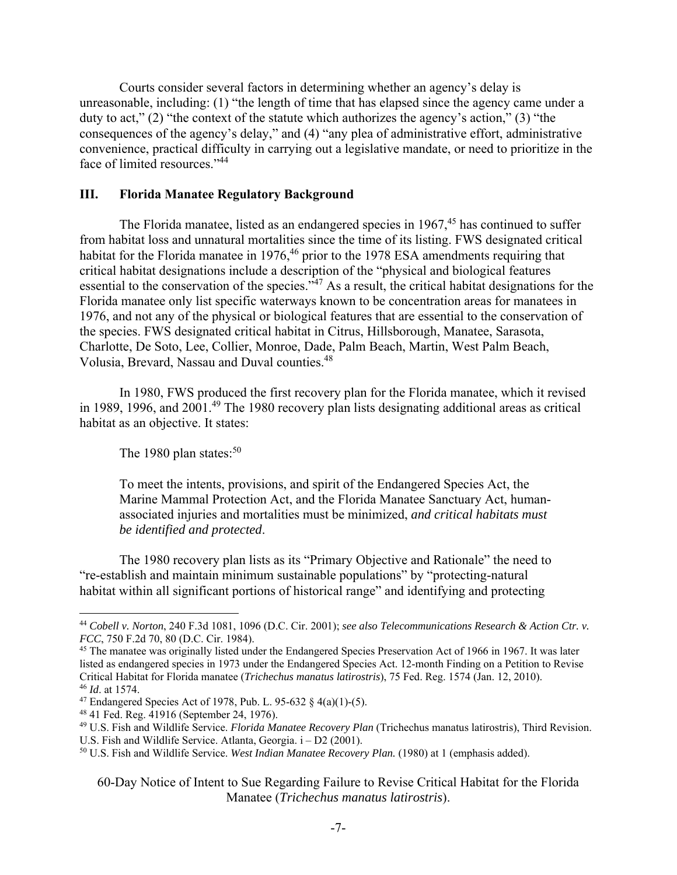Courts consider several factors in determining whether an agency's delay is unreasonable, including: (1) "the length of time that has elapsed since the agency came under a duty to act," (2) "the context of the statute which authorizes the agency's action," (3) "the consequences of the agency's delay," and (4) "any plea of administrative effort, administrative convenience, practical difficulty in carrying out a legislative mandate, or need to prioritize in the face of limited resources."44

#### **III. Florida Manatee Regulatory Background**

The Florida manatee, listed as an endangered species in  $1967<sup>45</sup>$  has continued to suffer from habitat loss and unnatural mortalities since the time of its listing. FWS designated critical habitat for the Florida manatee in 1976,<sup>46</sup> prior to the 1978 ESA amendments requiring that critical habitat designations include a description of the "physical and biological features essential to the conservation of the species."47 As a result, the critical habitat designations for the Florida manatee only list specific waterways known to be concentration areas for manatees in 1976, and not any of the physical or biological features that are essential to the conservation of the species. FWS designated critical habitat in Citrus, Hillsborough, Manatee, Sarasota, Charlotte, De Soto, Lee, Collier, Monroe, Dade, Palm Beach, Martin, West Palm Beach, Volusia, Brevard, Nassau and Duval counties.48

In 1980, FWS produced the first recovery plan for the Florida manatee, which it revised in 1989, 1996, and  $2001<sup>49</sup>$  The 1980 recovery plan lists designating additional areas as critical habitat as an objective. It states:

The 1980 plan states: $50$ 

To meet the intents, provisions, and spirit of the Endangered Species Act, the Marine Mammal Protection Act, and the Florida Manatee Sanctuary Act, humanassociated injuries and mortalities must be minimized, *and critical habitats must be identified and protected*.

 The 1980 recovery plan lists as its "Primary Objective and Rationale" the need to "re-establish and maintain minimum sustainable populations" by "protecting-natural habitat within all significant portions of historical range" and identifying and protecting

<sup>44</sup> *Cobell v. Norton*, 240 F.3d 1081, 1096 (D.C. Cir. 2001); *see also Telecommunications Research & Action Ctr. v. FCC*, 750 F.2d 70, 80 (D.C. Cir. 1984).

<sup>&</sup>lt;sup>45</sup> The manatee was originally listed under the Endangered Species Preservation Act of 1966 in 1967. It was later listed as endangered species in 1973 under the Endangered Species Act. 12-month Finding on a Petition to Revise Critical Habitat for Florida manatee (*Trichechus manatus latirostris*), 75 Fed. Reg. 1574 (Jan. 12, 2010). <sup>46</sup> *Id*. at 1574.

<sup>&</sup>lt;sup>47</sup> Endangered Species Act of 1978, Pub. L. 95-632 § 4(a)(1)-(5).

<sup>48 41</sup> Fed. Reg. 41916 (September 24, 1976).

<sup>49</sup> U.S. Fish and Wildlife Service. *Florida Manatee Recovery Plan* (Trichechus manatus latirostris), Third Revision.

U.S. Fish and Wildlife Service. Atlanta, Georgia. i – D2 (2001).<br><sup>50</sup> U.S. Fish and Wildlife Service. *West Indian Manatee Recovery Plan.* (1980) at 1 (emphasis added).

<sup>60-</sup>Day Notice of Intent to Sue Regarding Failure to Revise Critical Habitat for the Florida Manatee (*Trichechus manatus latirostris*).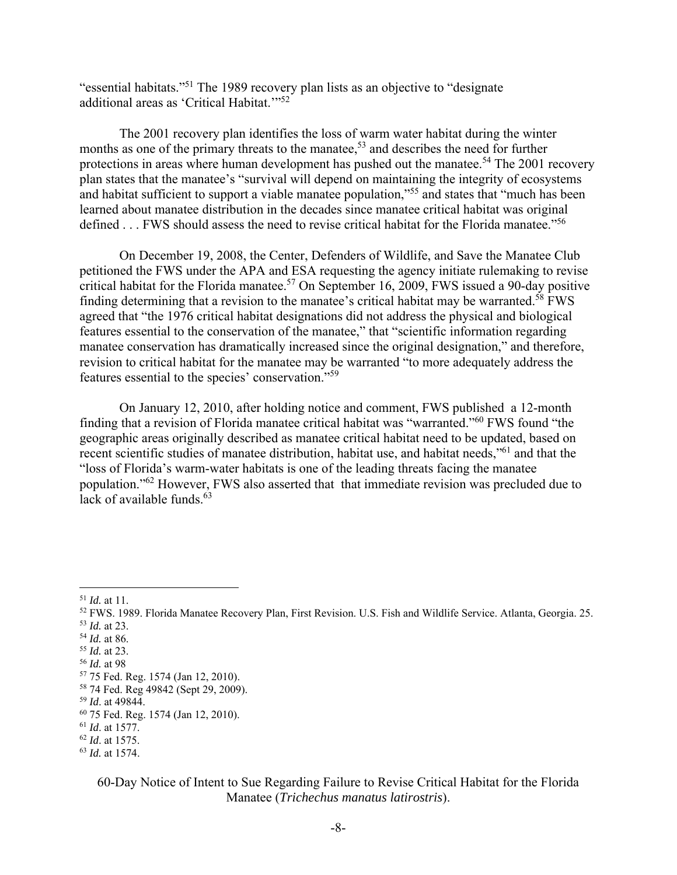"essential habitats."51 The 1989 recovery plan lists as an objective to "designate additional areas as 'Critical Habitat."<sup>52</sup>

The 2001 recovery plan identifies the loss of warm water habitat during the winter months as one of the primary threats to the manatee,<sup>53</sup> and describes the need for further protections in areas where human development has pushed out the manatee.<sup>54</sup> The 2001 recovery plan states that the manatee's "survival will depend on maintaining the integrity of ecosystems and habitat sufficient to support a viable manatee population,"55 and states that "much has been learned about manatee distribution in the decades since manatee critical habitat was original defined  $\dots$  FWS should assess the need to revise critical habitat for the Florida manatee."<sup>56</sup>

On December 19, 2008, the Center, Defenders of Wildlife, and Save the Manatee Club petitioned the FWS under the APA and ESA requesting the agency initiate rulemaking to revise critical habitat for the Florida manatee.<sup>57</sup> On September 16, 2009, FWS issued a 90-day positive finding determining that a revision to the manatee's critical habitat may be warranted.<sup>58</sup> FWS agreed that "the 1976 critical habitat designations did not address the physical and biological features essential to the conservation of the manatee," that "scientific information regarding manatee conservation has dramatically increased since the original designation," and therefore, revision to critical habitat for the manatee may be warranted "to more adequately address the features essential to the species' conservation."59

On January 12, 2010, after holding notice and comment, FWS published a 12-month finding that a revision of Florida manatee critical habitat was "warranted."60 FWS found "the geographic areas originally described as manatee critical habitat need to be updated, based on recent scientific studies of manatee distribution, habitat use, and habitat needs,"<sup>61</sup> and that the "loss of Florida's warm-water habitats is one of the leading threats facing the manatee population."62 However, FWS also asserted that that immediate revision was precluded due to lack of available funds. $63$ 

### 60-Day Notice of Intent to Sue Regarding Failure to Revise Critical Habitat for the Florida Manatee (*Trichechus manatus latirostris*).

<sup>51</sup> *Id.* at 11.

<sup>52</sup> FWS. 1989. Florida Manatee Recovery Plan, First Revision. U.S. Fish and Wildlife Service. Atlanta, Georgia. 25.

<sup>&</sup>lt;sup>53</sup> *Id.* at 23.<br><sup>54</sup> *Id.* at 86.

<sup>&</sup>lt;sup>55</sup> *Id.* at 23.<br><sup>56</sup> *Id.* at 98.

<sup>&</sup>lt;sup>57</sup> 75 Fed. Reg. 1574 (Jan 12, 2010).

<sup>58 74</sup> Fed. Reg 49842 (Sept 29, 2009).

<sup>59</sup> *Id*. at 49844.

<sup>60 75</sup> Fed. Reg. 1574 (Jan 12, 2010).

<sup>61</sup> *Id*. at 1577.

<sup>62</sup> *Id*. at 1575.

<sup>63</sup> *Id.* at 1574.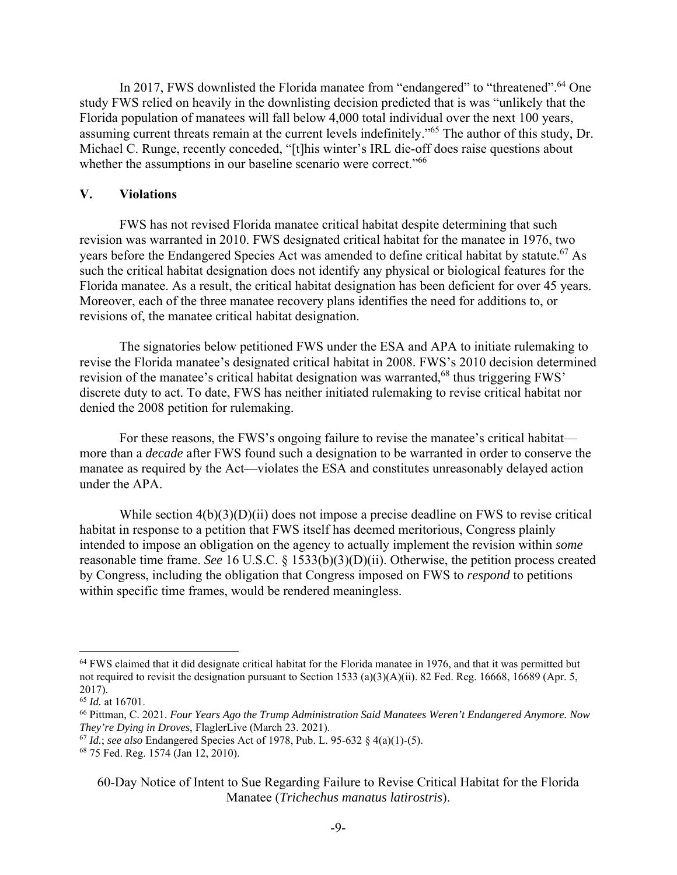In 2017, FWS downlisted the Florida manatee from "endangered" to "threatened".<sup>64</sup> One study FWS relied on heavily in the downlisting decision predicted that is was "unlikely that the Florida population of manatees will fall below 4,000 total individual over the next 100 years, assuming current threats remain at the current levels indefinitely."65 The author of this study, Dr. Michael C. Runge, recently conceded, "[t]his winter's IRL die-off does raise questions about whether the assumptions in our baseline scenario were correct."<sup>66</sup>

#### **V. Violations**

 FWS has not revised Florida manatee critical habitat despite determining that such revision was warranted in 2010. FWS designated critical habitat for the manatee in 1976, two years before the Endangered Species Act was amended to define critical habitat by statute.<sup>67</sup> As such the critical habitat designation does not identify any physical or biological features for the Florida manatee. As a result, the critical habitat designation has been deficient for over 45 years. Moreover, each of the three manatee recovery plans identifies the need for additions to, or revisions of, the manatee critical habitat designation.

 The signatories below petitioned FWS under the ESA and APA to initiate rulemaking to revise the Florida manatee's designated critical habitat in 2008. FWS's 2010 decision determined revision of the manatee's critical habitat designation was warranted,<sup>68</sup> thus triggering FWS' discrete duty to act. To date, FWS has neither initiated rulemaking to revise critical habitat nor denied the 2008 petition for rulemaking.

 For these reasons, the FWS's ongoing failure to revise the manatee's critical habitat more than a *decade* after FWS found such a designation to be warranted in order to conserve the manatee as required by the Act—violates the ESA and constitutes unreasonably delayed action under the APA.

While section  $4(b)(3)(D)(ii)$  does not impose a precise deadline on FWS to revise critical habitat in response to a petition that FWS itself has deemed meritorious, Congress plainly intended to impose an obligation on the agency to actually implement the revision within *some* reasonable time frame. *See* 16 U.S.C. § 1533(b)(3)(D)(ii). Otherwise, the petition process created by Congress, including the obligation that Congress imposed on FWS to *respond* to petitions within specific time frames, would be rendered meaningless.

<sup>&</sup>lt;sup>64</sup> FWS claimed that it did designate critical habitat for the Florida manatee in 1976, and that it was permitted but not required to revisit the designation pursuant to Section 1533 (a)(3)(A)(ii). 82 Fed. Reg. 16668, 16689 (Apr. 5, 2017).

<sup>65</sup> *Id.* at 16701.

<sup>66</sup> Pittman, C. 2021. *Four Years Ago the Trump Administration Said Manatees Weren't Endangered Anymore. Now They're Dying in Droves*, FlaglerLive (March 23. 2021).

<sup>67</sup> *Id.*; *see also* Endangered Species Act of 1978, Pub. L. 95-632 § 4(a)(1)-(5).

<sup>68 75</sup> Fed. Reg. 1574 (Jan 12, 2010).

<sup>60-</sup>Day Notice of Intent to Sue Regarding Failure to Revise Critical Habitat for the Florida Manatee (*Trichechus manatus latirostris*).